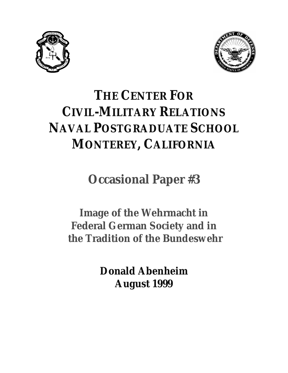



# **THE CENTER FOR CIVIL-MILITARY RELATIONS NAVAL POSTGRADUATE SCHOOL MONTEREY, CALIFORNIA**

**Occasional Paper #3** 

**Image of the Wehrmacht in Federal German Society and in the Tradition of the Bundeswehr** 

> **Donald Abenheim August 1999**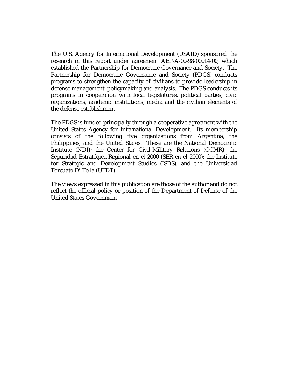The U.S. Agency for International Development (USAID) sponsored the research in this report under agreement AEP-A-00-98-00014-00, which established the Partnership for Democratic Governance and Society. The Partnership for Democratic Governance and Society (PDGS) conducts programs to strengthen the capacity of civilians to provide leadership in defense management, policymaking and analysis. The PDGS conducts its programs in cooperation with local legislatures, political parties, civic organizations, academic institutions, media and the civilian elements of the defense establishment.

The PDGS is funded principally through a cooperative agreement with the United States Agency for International Development. Its membership consists of the following five organizations from Argentina, the Philippines, and the United States. These are the National Democratic Institute (NDI); the Center for Civil-Military Relations (CCMR); the Seguridad Estratégica Regional en el 2000 (SER en el 2000); the Institute for Strategic and Development Studies (ISDS); and the Universidad Torcuato Di Tella (UTDT).

The views expressed in this publication are those of the author and do not reflect the official policy or position of the Department of Defense of the United States Government.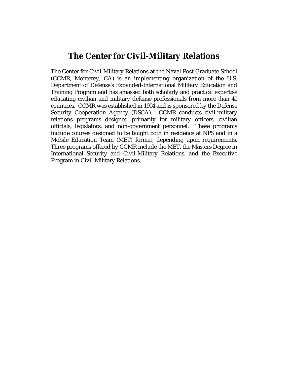## **The Center for Civil-Military Relations**

The Center for Civil-Military Relations at the Naval Post-Graduate School (CCMR, Monterey, CA) is an implementing organization of the U.S. Department of Defense's Expanded-International Military Education and Training Program and has amassed both scholarly and practical expertise educating civilian and military defense professionals from more than 40 countries. CCMR was established in 1994 and is sponsored by the Defense Security Cooperation Agency (DSCA). CCMR conducts civil-military relations programs designed primarily for military officers, civilian officials, legislators, and non-government personnel. These programs include courses designed to be taught both in residence at NPS and in a Mobile Education Team (MET) format, depending upon requirements. Three programs offered by CCMR include the MET, the Masters Degree in International Security and Civil-Military Relations, and the Executive Program in Civil-Military Relations.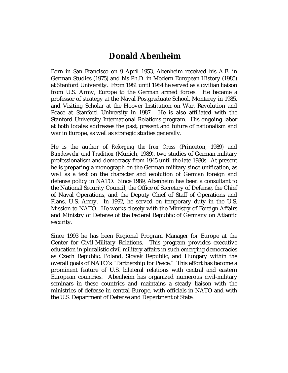# **Donald Abenheim**

Born in San Francisco on 9 April 1953, Abenheim received his A.B. in German Studies (1975) and his Ph.D. in Modern European History (1985) at Stanford University. From 1981 until 1984 he served as a civilian liaison from U.S. Army, Europe to the German armed forces. He became a professor of strategy at the Naval Postgraduate School, Monterey in 1985, and Visiting Scholar at the Hoover Institution on War, Revolution and Peace at Stanford University in 1987. He is also affiliated with the Stanford University International Relations program. His ongoing labor at both locales addresses the past, present and future of nationalism and war in Europe, as well as strategic studies generally.

He is the author of *Reforging the Iron Cross* (Princeton, 1989) and *Bundeswehr und Tradition* (Munich, 1989), two studies of German military professionalism and democracy from 1945 until the late 1980s. At present he is preparing a monograph on the German military since unification, as well as a text on the character and evolution of German foreign and defense policy in NATO. Since 1989, Abenheim has been a consultant to the National Security Council, the Office of Secretary of Defense, the Chief of Naval Operations, and the Deputy Chief of Staff of Operations and Plans, U.S. Army. In 1992, he served on temporary duty in the U.S. Mission to NATO. He works closely with the Ministry of Foreign Affairs and Ministry of Defense of the Federal Republic of Germany on Atlantic security.

Since 1993 he has been Regional Program Manager for Europe at the Center for Civil-Military Relations. This program provides executive education in pluralistic civil-military affairs in such emerging democracies as Czech Republic, Poland, Slovak Republic, and Hungary within the overall goals of NATO's "Partnership for Peace." This effort has become a prominent feature of U.S. bilateral relations with central and eastern European countries. Abenheim has organized numerous civil-military seminars in these countries and maintains a steady liaison with the ministries of defense in central Europe, with officials in NATO and with the U.S. Department of Defense and Department of State.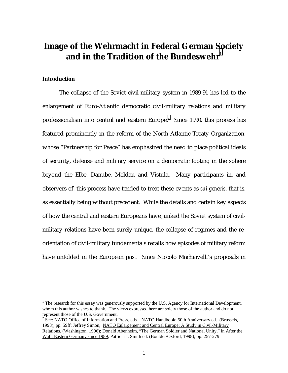## **Image of the Wehrmacht in Federal German Society and in the Tradition of the Bundeswehr<sup>1</sup>**

#### **Introduction**

 $\overline{a}$ 

 The collapse of the Soviet civil-military system in 1989-91 has led to the enlargement of Euro-Atlantic democratic civil-military relations and military professionalism into central and eastern Europe.<sup>2</sup> Since 1990, this process has featured prominently in the reform of the North Atlantic Treaty Organization, whose "Partnership for Peace" has emphasized the need to place political ideals of security, defense and military service on a democratic footing in the sphere beyond the Elbe, Danube, Moldau and Vistula. Many participants in, and observers of, this process have tended to treat these events as *sui generis*, that is, as essentially being without precedent. While the details and certain key aspects of how the central and eastern Europeans have junked the Soviet system of civilmilitary relations have been surely unique, the collapse of regimes and the reorientation of civil-military fundamentals recalls how episodes of military reform have unfolded in the European past. Since Niccolo Machiavelli's proposals in

 $1$ <sup>1</sup> The research for this essay was generously supported by the U.S. Agency for International Development, whom this author wishes to thank. The views expressed here are solely those of the author and do not represent those of the U.S. Government.

<sup>&</sup>lt;sup>2</sup> See: NATO Office of Information and Press, eds. NATO Handbook: 50th Anniversary ed. (Brussels, 1998), pp. 59ff; Jeffrey Simon, NATO Enlargement and Central Europe: A Study in Civil-Military Relations, (Washington, 1996); Donald Abenheim, "The German Soldier and National Unity," in After the Wall: Eastern Germany since 1989, Patricia J. Smith ed. (Boulder/Oxford, 1998), pp. 257-279.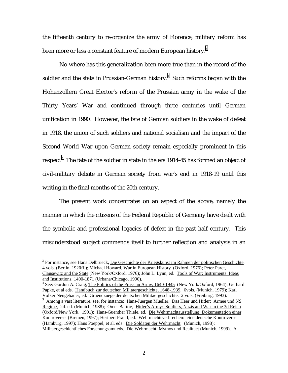the fifteenth century to re-organize the army of Florence, military reform has been more or less a constant feature of modern European history. $^{\text{3}}$ 

 No where has this generalization been more true than in the record of the soldier and the state in Prussian-German history. $^4$  Such reforms began with the Hohenzollern Great Elector's reform of the Prussian army in the wake of the Thirty Years' War and continued through three centuries until German unification in 1990. However, the fate of German soldiers in the wake of defeat in 1918, the union of such soldiers and national socialism and the impact of the Second World War upon German society remain especially prominent in this respect. $^{\rm 5}$  The fate of the soldier in state in the era 1914-45 has formed an object of civil-military debate in German society from war's end in 1918-19 until this writing in the final months of the 20th century.

 The present work concentrates on an aspect of the above, namely the manner in which the citizens of the Federal Republic of Germany have dealt with the symbolic and professional legacies of defeat in the past half century. This misunderstood subject commends itself to further reflection and analysis in an

<sup>&</sup>lt;sup>3</sup> For instance, see Hans Delbrueck, Die Geschichte der Kriegskunst im Rahmen der politischen Geschichte, 4 vols. (Berlin, 1920ff.); Michael Howard, War in European History (Oxford, 1976); Peter Paret, Clausewitz and the State (New York/Oxford, 1976); John L. Lynn, ed. Tools of War: Instruments: Ideas and Institutions, 1400-1871 (Urbana/Chicago, 1990). 4

<sup>&</sup>lt;sup>4</sup> See: Gordon A. Craig, The Politics of the Prussian Army, 1640-1945 (New York/Oxford, 1964); Gerhard Papke, et al eds. Handbuch zur deutschen Militaergeschichte, 1648-1939, 6vols. (Munich, 1979); Karl Volker Neugebauer, ed. Gruendzuege der deutschen Militaergeschichte, 2 vols. (Freiburg, 1993). 5

<sup>&</sup>lt;sup>5</sup> Among a vast literature, see, for instance: Hans-Juergen Mueller, <u>Das Heer und Hitler: Armee und NS</u> Regime, 2d. ed. (Munich, 1988); Omer Bartov, Hitler's Army: Soldiers, Nazis and War in the 3d Reich (Oxford/New York, 1991); Hans-Guenther Thiele, ed. Die Wehrmachtausstellung: Dokumentation einer Kontroverse (Bremen, 1997); Heribert Prantl, ed. Wehrmachtsverbrechen: eine deutsche Kontroverse (Hamburg, 1997); Hans Poeppel, et al. eds. Die Soldaten der Wehrmacht (Munich, 1998); Militaergeschichtliches Forschungsamt eds. Die Wehrmacht: Mythos und Realitaet (Munich, 1999). A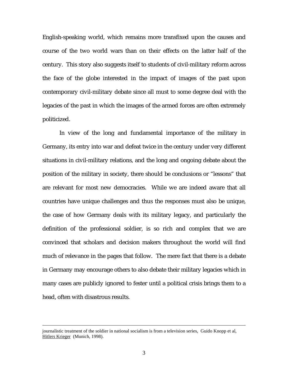English-speaking world, which remains more transfixed upon the causes and course of the two world wars than on their effects on the latter half of the century. This story also suggests itself to students of civil-military reform across the face of the globe interested in the impact of images of the past upon contemporary civil-military debate since all must to some degree deal with the legacies of the past in which the images of the armed forces are often extremely politicized.

 In view of the long and fundamental importance of the military in Germany, its entry into war and defeat twice in the century under very different situations in civil-military relations, and the long and ongoing debate about the position of the military in society, there should be conclusions or "lessons" that are relevant for most new democracies. While we are indeed aware that all countries have unique challenges and thus the responses must also be unique, the case of how Germany deals with its military legacy, and particularly the definition of the professional soldier, is so rich and complex that we are convinced that scholars and decision makers throughout the world will find much of relevance in the pages that follow. The mere fact that there is a debate in Germany may encourage others to also debate their military legacies which in many cases are publicly ignored to fester until a political crisis brings them to a head, often with disastrous results.

journalistic treatment of the soldier in national socialism is from a television series, Guido Knopp et al, Hitlers Krieger (Munich, 1998).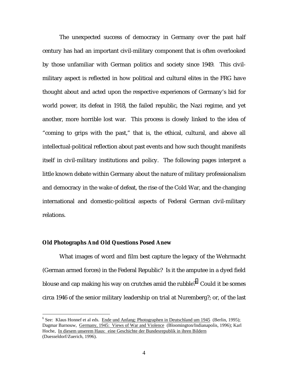The unexpected success of democracy in Germany over the past half century has had an important civil-military component that is often overlooked by those unfamiliar with German politics and society since 1949. This civilmilitary aspect is reflected in how political and cultural elites in the FRG have thought about and acted upon the respective experiences of Germany's bid for world power, its defeat in 1918, the failed republic, the Nazi regime, and yet another, more horrible lost war. This process is closely linked to the idea of "coming to grips with the past," that is, the ethical, cultural, and above all intellectual-political reflection about past events and how such thought manifests itself in civil-military institutions and policy. The following pages interpret a little known debate within Germany about the nature of military professionalism and democracy in the wake of defeat, the rise of the Cold War, and the changing international and domestic-political aspects of Federal German civil-military relations.

#### **Old Photographs And Old Questions Posed Anew**

 $\overline{a}$ 

 What images of word and film best capture the legacy of the Wehrmacht (German armed forces) in the Federal Republic? Is it the amputee in a dyed field blouse and cap making his way on crutches amid the rubble?<sup>6</sup> Could it be scenes circa 1946 of the senior military leadership on trial at Nuremberg?; or, of the last

<sup>&</sup>lt;sup>6</sup> See: Klaus Honnef et al eds. Ende und Anfang: Photographen in Deutschland um 1945 (Berlin, 1995); Dagmar Barnouw, Germany, 1945: Views of War and Violence (Bloomington/Indianapolis, 1996); Karl Hoche, In diesem unserem Haus: eine Geschichte der Bundesrepublik in ihren Bildern (Duesseldorf/Zuerich, 1996).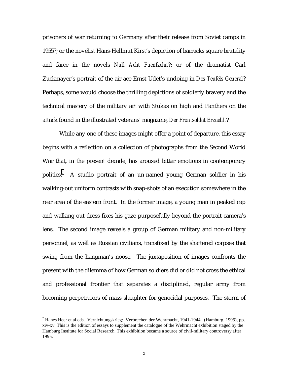prisoners of war returning to Germany after their release from Soviet camps in 1955?; or the novelist Hans-Hellmut Kirst's depiction of barracks square brutality and farce in the novels *Null Acht Fuenfzehn*?; or of the dramatist Carl Zuckmayer's portrait of the air ace Ernst Udet's undoing in *Des Teufels General*? Perhaps, some would choose the thrilling depictions of soldierly bravery and the technical mastery of the military art with Stukas on high and Panthers on the attack found in the illustrated veterans' magazine, *Der Frontsoldat Erzaehlt*?

 While any one of these images might offer a point of departure, this essay begins with a reflection on a collection of photographs from the Second World War that, in the present decade, has aroused bitter emotions in contemporary politics.<sup>7</sup> A studio portrait of an un-named young German soldier in his walking-out uniform contrasts with snap-shots of an execution somewhere in the rear area of the eastern front. In the former image, a young man in peaked cap and walking-out dress fixes his gaze purposefully beyond the portrait camera's lens. The second image reveals a group of German military and non-military personnel, as well as Russian civilians, transfixed by the shattered corpses that swing from the hangman's noose. The juxtaposition of images confronts the present with the dilemma of how German soldiers did or did not cross the ethical and professional frontier that separates a disciplined, regular army from becoming perpetrators of mass slaughter for genocidal purposes. The storm of

<sup>&</sup>lt;sup>7</sup> Hanes Heer et al eds. Vernichtungskrieg: Verbrechen der Wehrmacht, 1941-1944 (Hamburg, 1995), pp. xiv-xv. This is the edition of essays to supplement the catalogue of the Wehrmacht exhibition staged by the Hamburg Institute for Social Research. This exhibition became a source of civil-military controversy after 1995.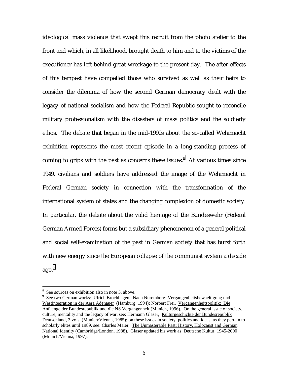ideological mass violence that swept this recruit from the photo atelier to the front and which, in all likelihood, brought death to him and to the victims of the executioner has left behind great wreckage to the present day. The after-effects of this tempest have compelled those who survived as well as their heirs to consider the dilemma of how the second German democracy dealt with the legacy of national socialism and how the Federal Republic sought to reconcile military professionalism with the disasters of mass politics and the soldierly ethos. The debate that began in the mid-1990s about the so-called Wehrmacht exhibition represents the most recent episode in a long-standing process of coming to grips with the past as concerns these issues.<sup>8</sup> At various times since 1949, civilians and soldiers have addressed the image of the Wehrmacht in Federal German society in connection with the transformation of the international system of states and the changing complexion of domestic society. In particular, the debate about the valid heritage of the Bundeswehr (Federal German Armed Forces) forms but a subsidiary phenomenon of a general political and social self-examination of the past in German society that has burst forth with new energy since the European collapse of the communist system a decade  $a\alpha$ <sup>9</sup>

<sup>&</sup>lt;sup>8</sup> See sources on exhibition also in note 5, above.

<sup>&</sup>lt;sup>9</sup> See two German works: Ulrich Brochhagen, Nach Nuremberg: Vergangenheitsbewaeltigung und Westintegration in der Aera Adenauer (Hamburg, 1994); Norbert Frei, Vergangenheitspolitik: Die Anfaenge der Bundesrepublik und die NS Vergangenheit (Munich, 1996). On the general issue of society, culture, mentality and the legacy of war, see: Hermann Glaser, Kulturgeschichte der Bundesrepublik Deutschland, 3 vols. (Munich/Vienna, 1985); on these issues in society, politics and ideas as they pertain to scholarly elites until 1989, see: Charles Maier, The Unmasterable Past: History, Holocaust and German National Identity (Cambridge/London, 1988). Glaser updated his work as Deutsche Kultur, 1945-2000 (Munich/Vienna, 1997).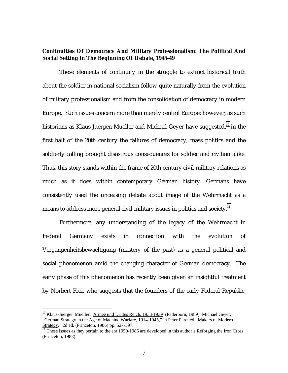### **Continuities Of Democracy And Military Professionalism: The Political And Social Setting In The Beginning Of Debate, 1945-49**

 These elements of continuity in the struggle to extract historical truth about the soldier in national socialism follow quite naturally from the evolution of military professionalism and from the consolidation of democracy in modern Europe. Such issues concern more than merely central Europe; however, as such historians as Klaus Juergen Mueller and Michael Geyer have suggested,<sup>10</sup> in the first half of the 20th century the failures of democracy, mass politics and the soldierly calling brought disastrous consequences for soldier and civilian alike. Thus, this story stands within the frame of 20th century civil-military relations as much as it does within contemporary German history. Germans have consistently used the unceasing debate about image of the Wehrmacht as a means to address more general civil-military issues in politics and society. $^{\rm n}$ 

 Furthermore, any understanding of the legacy of the Wehrmacht in Federal Germany exists in connection with the evolution of Vergangenheitsbewaeltigung (mastery of the past) as a general political and social phenomenon amid the changing character of German democracy. The early phase of this phenomenon has recently been given an insightful treatment by Norbert Frei, who suggests that the founders of the early Federal Republic,

 $10$  Klaus-Juergen Mueller, Armee und Drittes Reich, 1933-1939 (Paderborn, 1989); Michael Geyer, "German Strategy in the Age of Machine Warfare, 1914-1945," in Peter Paret ed. Makers of Modern Strategy, 2d ed. (Princeton, 1986) pp. 527-597.<br><sup>11</sup> These issues as they pertain to the era 1950-1986 are developed in this author's <u>Reforging the Iron Cross</u>

<sup>(</sup>Princeton, 1988).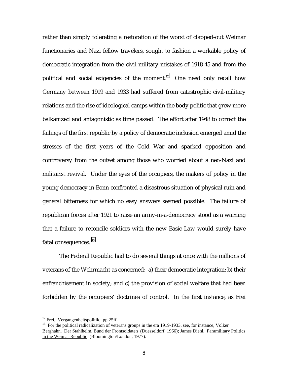rather than simply tolerating a restoration of the worst of clapped-out Weimar functionaries and Nazi fellow travelers, sought to fashion a workable policy of democratic integration from the civil-military mistakes of 1918-45 and from the political and social exigencies of the moment.<sup>12</sup> One need only recall how Germany between 1919 and 1933 had suffered from catastrophic civil-military relations and the rise of ideological camps within the body politic that grew more balkanized and antagonistic as time passed. The effort after 1948 to correct the failings of the first republic by a policy of democratic inclusion emerged amid the stresses of the first years of the Cold War and sparked opposition and controversy from the outset among those who worried about a neo-Nazi and militarist revival. Under the eyes of the occupiers, the makers of policy in the young democracy in Bonn confronted a disastrous situation of physical ruin and general bitterness for which no easy answers seemed possible. The failure of republican forces after 1921 to raise an army-in-a-democracy stood as a warning that a failure to reconcile soldiers with the new Basic Law would surely have fatal consequences.<sup>13</sup>

 The Federal Republic had to do several things at once with the millions of veterans of the Wehrmacht as concerned: a) their democratic integration; b) their enfranchisement in society; and c) the provision of social welfare that had been forbidden by the occupiers' doctrines of control. In the first instance, as Frei

<sup>&</sup>lt;sup>12</sup> Frei, <u>Vergangenheitspolitik</u>, pp.25ff.<br><sup>13</sup> For the political radicalization of veterans groups in the era 1919-1933, see, for instance, Volker Berghahn, Der Stahlhelm, Bund der Frontsoldaten (Duesseldorf, 1966); James Diehl, Paramilitary Politics in the Weimar Republic (Bloomington/London, 1977).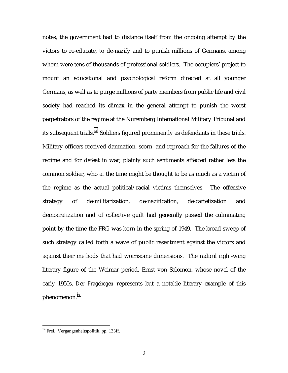notes, the government had to distance itself from the ongoing attempt by the victors to re-educate, to de-nazify and to punish millions of Germans, among whom were tens of thousands of professional soldiers. The occupiers' project to mount an educational and psychological reform directed at all younger Germans, as well as to purge millions of party members from public life and civil society had reached its climax in the general attempt to punish the worst perpetrators of the regime at the Nuremberg International Military Tribunal and its subsequent trials.<sup>14</sup> Soldiers figured prominently as defendants in these trials. Military officers received damnation, scorn, and reproach for the failures of the regime and for defeat in war; plainly such sentiments affected rather less the common soldier, who at the time might be thought to be as much as a victim of the regime as the actual political/racial victims themselves. The offensive strategy of de-militarization, de-nazification, de-cartelization and democratization and of collective guilt had generally passed the culminating point by the time the FRG was born in the spring of 1949. The broad sweep of such strategy called forth a wave of public resentment against the victors and against their methods that had worrisome dimensions. The radical right-wing literary figure of the Weimar period, Ernst von Salomon, whose novel of the early 1950s, *Der Fragebogen* represents but a notable literary example of this phenomenon.<sup>15</sup>

<sup>&</sup>lt;sup>14</sup> Frei, <u>Vergangenheitspolitik</u>, pp. 133ff.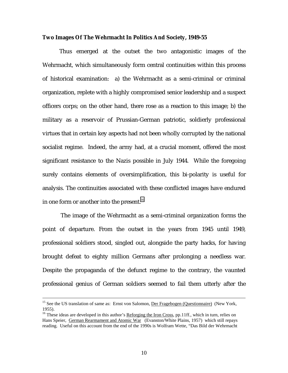#### **Two Images Of The Wehrmacht In Politics And Society, 1949-55**

 Thus emerged at the outset the two antagonistic images of the Wehrmacht, which simultaneously form central continuities within this process of historical examination: a) the Wehrmacht as a semi-criminal or criminal organization, replete with a highly compromised senior leadership and a suspect officers corps; on the other hand, there rose as a reaction to this image; b) the military as a reservoir of Prussian-German patriotic, soldierly professional virtues that in certain key aspects had not been wholly corrupted by the national socialist regime. Indeed, the army had, at a crucial moment, offered the most significant resistance to the Nazis possible in July 1944. While the foregoing surely contains elements of oversimplification, this bi-polarity is useful for analysis. The continuities associated with these conflicted images have endured in one form or another into the present.<sup>16</sup>

 The image of the Wehrmacht as a semi-criminal organization forms the point of departure. From the outset in the years from 1945 until 1949, professional soldiers stood, singled out, alongside the party hacks, for having brought defeat to eighty million Germans after prolonging a needless war. Despite the propaganda of the defunct regime to the contrary, the vaunted professional genius of German soldiers seemed to fail them utterly after the

<sup>&</sup>lt;sup>15</sup> See the US translation of same as: Ernst von Salomon, Der Fragebogen (Questionnaire) (New York, 1955).

<sup>&</sup>lt;sup>16</sup> These ideas are developed in this author's Reforging the Iron Cross, pp.11ff., which in turn, relies on Hans Speier, German Rearmament and Atomic War (Evanston/White Plains, 1957) which still repays reading. Useful on this account from the end of the 1990s is Wolfram Wette, "Das Bild der Wehrmacht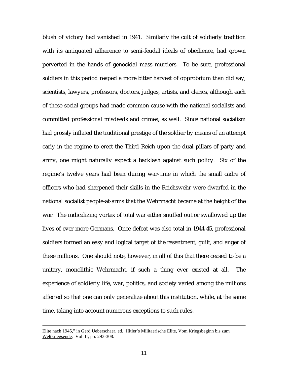blush of victory had vanished in 1941. Similarly the cult of soldierly tradition with its antiquated adherence to semi-feudal ideals of obedience, had grown perverted in the hands of genocidal mass murders. To be sure, professional soldiers in this period reaped a more bitter harvest of opprobrium than did say, scientists, lawyers, professors, doctors, judges, artists, and clerics, although each of these social groups had made common cause with the national socialists and committed professional misdeeds and crimes, as well. Since national socialism had grossly inflated the traditional prestige of the soldier by means of an attempt early in the regime to erect the Third Reich upon the dual pillars of party and army, one might naturally expect a backlash against such policy. Six of the regime's twelve years had been during war-time in which the small cadre of officers who had sharpened their skills in the Reichswehr were dwarfed in the national socialist people-at-arms that the Wehrmacht became at the height of the war. The radicalizing vortex of total war either snuffed out or swallowed up the lives of ever more Germans. Once defeat was also total in 1944-45, professional soldiers formed an easy and logical target of the resentment, guilt, and anger of these millions. One should note, however, in all of this that there ceased to be a unitary, monolithic Wehrmacht, if such a thing ever existed at all. The experience of soldierly life, war, politics, and society varied among the millions affected so that one can only generalize about this institution, while, at the same time, taking into account numerous exceptions to such rules.

Elite nach 1945," in Gerd Ueberschaer, ed. Hitler's Militaerische Elite, Vom Kriegsbeginn bis zum Weltkriegsende, Vol. II, pp. 293-308.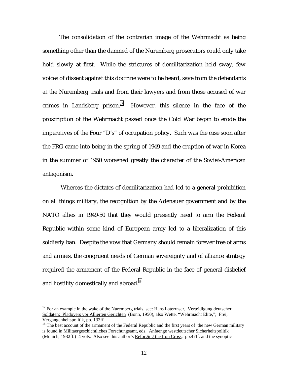The consolidation of the contrarian image of the Wehrmacht as being something other than the damned of the Nuremberg prosecutors could only take hold slowly at first. While the strictures of demilitarization held sway, few voices of dissent against this doctrine were to be heard, save from the defendants at the Nuremberg trials and from their lawyers and from those accused of war crimes in Landsberg prison.<sup>17</sup> However, this silence in the face of the proscription of the Wehrmacht passed once the Cold War began to erode the imperatives of the Four "D's" of occupation policy. Such was the case soon after the FRG came into being in the spring of 1949 and the eruption of war in Korea in the summer of 1950 worsened greatly the character of the Soviet-American antagonism.

 Whereas the dictates of demilitarization had led to a general prohibition on all things military, the recognition by the Adenauer government and by the NATO allies in 1949-50 that they would presently need to arm the Federal Republic within some kind of European army led to a liberalization of this soldierly ban. Despite the vow that Germany should remain forever free of arms and armies, the congruent needs of German sovereignty and of alliance strategy required the armament of the Federal Republic in the face of general disbelief and hostility domestically and abroad.<sup>18</sup>

 $17$  For an example in the wake of the Nuremberg trials, see: Hans Laterrnser, Verteidigung deutscher Soldaten: Pladoyers vor Allierten Gerichten (Bonn, 1950), also Wette, "Wehrmacht Elite,"; Frei, Vergangenheitspolitik, pp. 133ff.<br><sup>18</sup> The best account of the armament of the Federal Republic and the first years of the new German military

is found in Militaergeschichtliches Forschungsamt, eds. Anfaenge westdeutscher Sicherheitspolitik (Munich, 1982ff.) 4 vols. Also see this author's Reforging the Iron Cross, pp.47ff. and the synoptic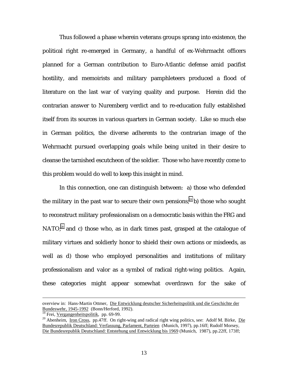Thus followed a phase wherein veterans groups sprang into existence, the political right re-emerged in Germany, a handful of ex-Wehrmacht officers planned for a German contribution to Euro-Atlantic defense amid pacifist hostility, and memoirists and military pamphleteers produced a flood of literature on the last war of varying quality and purpose. Herein did the contrarian answer to Nuremberg verdict and to re-education fully established itself from its sources in various quarters in German society. Like so much else in German politics, the diverse adherents to the contrarian image of the Wehrmacht pursued overlapping goals while being united in their desire to cleanse the tarnished escutcheon of the soldier. Those who have recently come to this problem would do well to keep this insight in mind.

 In this connection, one can distinguish between: a) those who defended the military in the past war to secure their own pensions;<sup>19</sup> b) those who sought to reconstruct military professionalism on a democratic basis within the FRG and NATO;<sup>20</sup> and c) those who, as in dark times past, grasped at the catalogue of military virtues and soldierly honor to shield their own actions or misdeeds, as well as d) those who employed personalities and institutions of military professionalism and valor as a symbol of radical right-wing politics. Again, these categories might appear somewhat overdrawn for the sake of

overview in: Hans-Martin Ottmer, Die Entwicklung deutscher Sicherheitspolitik und die Geschichte der Bundeswehr, 1945-1992 (Bonn/Herford, 1992).

<sup>&</sup>lt;sup>19</sup> Frei, <u>Vergangenheitspolitik</u>, pp. 69-99.<br><sup>20</sup> Abenheim, <u>Iron Cross</u>, pp.47ff. On right-wing and radical right wing politics, see: Adolf M. Birke, <u>Die</u> Bundesrepublik Deutschland: Verfassung, Parlament, Parteien (Munich, 1997), pp.16ff; Rudolf Morsey, Die Bundesrepublik Deutschland: Entstehung und Entwicklung bis 1969 (Munich, 1987), pp.22ff, 173ff;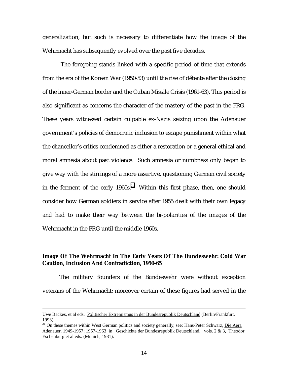generalization, but such is necessary to differentiate how the image of the Wehrmacht has subsequently evolved over the past five decades.

 The foregoing stands linked with a specific period of time that extends from the era of the Korean War (1950-53) until the rise of détente after the closing of the inner-German border and the Cuban Missile Crisis (1961-63). This period is also significant as concerns the character of the mastery of the past in the FRG. These years witnessed certain culpable ex-Nazis seizing upon the Adenauer government's policies of democratic inclusion to escape punishment within what the chancellor's critics condemned as either a restoration or a general ethical and moral amnesia about past violence. Such amnesia or numbness only began to give way with the stirrings of a more assertive, questioning German civil society in the ferment of the early  $1960s$ .<sup>21</sup> Within this first phase, then, one should consider how German soldiers in service after 1955 dealt with their own legacy and had to make their way between the bi-polarities of the images of the Wehrmacht in the FRG until the middle 1960s.

## **Image Of The Wehrmacht In The Early Years Of The Bundeswehr: Cold War Caution, Inclusion And Contradiction, 1950-65**

 The military founders of the Bundeswehr were without exception veterans of the Wehrmacht; moreover certain of these figures had served in the

Uwe Backes, et al eds. Politischer Extremismus in der Bundesrepublik Deutschland (Berlin/Frankfurt, 1993).

<sup>&</sup>lt;sup>21</sup> On these themes within West German politics and society generally, see: Hans-Peter Schwarz, Die Aera Adenauer, 1949-1957; 1957-1963 in Geschichte der Bundesrepublik Deutschland, vols. 2 & 3, Theodor Eschenburg et al eds. (Munich, 1981).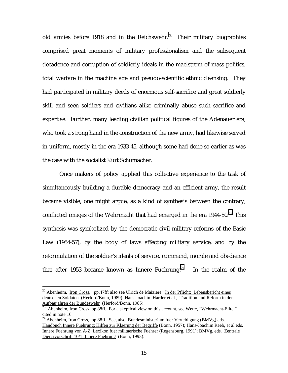old armies before 1918 and in the Reichswehr.<sup>22</sup> Their military biographies comprised great moments of military professionalism and the subsequent decadence and corruption of soldierly ideals in the maelstrom of mass politics, total warfare in the machine age and pseudo-scientific ethnic cleansing. They had participated in military deeds of enormous self-sacrifice and great soldierly skill and seen soldiers and civilians alike criminally abuse such sacrifice and expertise. Further, many leading civilian political figures of the Adenauer era, who took a strong hand in the construction of the new army, had likewise served in uniform, mostly in the era 1933-45, although some had done so earlier as was the case with the socialist Kurt Schumacher.

 Once makers of policy applied this collective experience to the task of simultaneously building a durable democracy and an efficient army, the result became visible, one might argue, as a kind of synthesis between the contrary, conflicted images of the Wehrmacht that had emerged in the era  $1944-50$ .<sup>23</sup> This synthesis was symbolized by the democratic civil-military reforms of the Basic Law (1954-57), by the body of laws affecting military service, and by the reformulation of the soldier's ideals of service, command, morale and obedience that after 1953 became known as Innere Fuehrung.<sup>24</sup> In the realm of the

 $22$  Abenheim, Iron Cross, pp.47ff; also see Ulrich de Maiziere, In der Pflicht: Lebensbericht eines deutschen Soldaten (Herford/Bonn, 1989); Hans-Joachim Harder et al., Tradition und Reform in den Aufbaujahren der Bundeswehr (Herford/Bonn, 1985).<br><sup>23</sup> Abenheim, <u>Iron Cross</u>, pp.88ff. For a skeptical view on this account, see Wette, "Wehrmacht-Elite,"

cited in note 16.

<sup>&</sup>lt;sup>24</sup> Abenheim, <u>Iron Cross</u>, pp.88ff. See, also, Bundesministerium fuer Verteidigung (BMVg) eds. Handbuch Innere Fuehrung: Hilfen zur Klaerung der Begriffe (Bonn, 1957); Hans-Joachim Reeb, et al eds. Innere Fuehrung von A-Z: Lexikon fuer militaerische Fuehrer (Regensburg, 1991); BMVg, eds. Zentrale Dienstvorschrift 10/1: Innere Fuehrung (Bonn, 1993).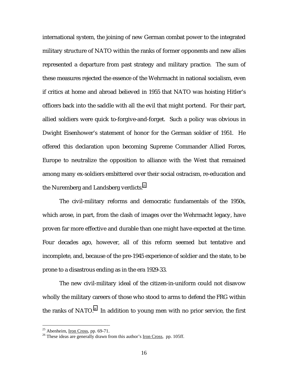international system, the joining of new German combat power to the integrated military structure of NATO within the ranks of former opponents and new allies represented a departure from past strategy and military practice. The sum of these measures rejected the essence of the Wehrmacht in national socialism, even if critics at home and abroad believed in 1955 that NATO was hoisting Hitler's officers back into the saddle with all the evil that might portend. For their part, allied soldiers were quick to-forgive-and-forget. Such a policy was obvious in Dwight Eisenhower's statement of honor for the German soldier of 1951. He offered this declaration upon becoming Supreme Commander Allied Forces, Europe to neutralize the opposition to alliance with the West that remained among many ex-soldiers embittered over their social ostracism, re-education and the Nuremberg and Landsberg verdicts.<sup>25</sup>

 The civil-military reforms and democratic fundamentals of the 1950s, which arose, in part, from the clash of images over the Wehrmacht legacy, have proven far more effective and durable than one might have expected at the time. Four decades ago, however, all of this reform seemed but tentative and incomplete, and, because of the pre-1945 experience of soldier and the state, to be prone to a disastrous ending as in the era 1929-33.

 The new civil-military ideal of the citizen-in-uniform could not disavow wholly the military careers of those who stood to arms to defend the FRG within the ranks of NATO.<sup>26</sup> In addition to young men with no prior service, the first

<sup>&</sup>lt;sup>25</sup> Abenheim, <u>Iron Cross</u>, pp. 69-71.<br><sup>26</sup> These ideas are generally drawn from this author's <u>Iron Cross</u>, pp. 105ff.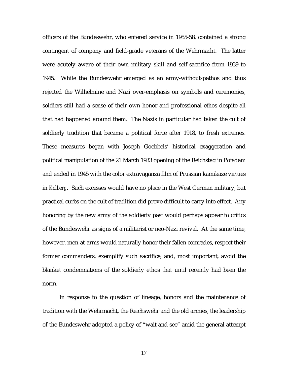officers of the Bundeswehr, who entered service in 1955-58, contained a strong contingent of company and field-grade veterans of the Wehrmacht. The latter were acutely aware of their own military skill and self-sacrifice from 1939 to 1945. While the Bundeswehr emerged as an army-without-pathos and thus rejected the Wilhelmine and Nazi over-emphasis on symbols and ceremonies, soldiers still had a sense of their own honor and professional ethos despite all that had happened around them. The Nazis in particular had taken the cult of soldierly tradition that became a political force after 1918, to fresh extremes. These measures began with Joseph Goebbels' historical exaggeration and political manipulation of the 21 March 1933 opening of the Reichstag in Potsdam and ended in 1945 with the color extravaganza film of Prussian kamikaze virtues in *Kolberg*. Such excesses would have no place in the West German military, but practical curbs on the cult of tradition did prove difficult to carry into effect. Any honoring by the new army of the soldierly past would perhaps appear to critics of the Bundeswehr as signs of a militarist or neo-Nazi revival. At the same time, however, men-at-arms would naturally honor their fallen comrades, respect their former commanders, exemplify such sacrifice, and, most important, avoid the blanket condemnations of the soldierly ethos that until recently had been the norm.

 In response to the question of lineage, honors and the maintenance of tradition with the Wehrmacht, the Reichswehr and the old armies, the leadership of the Bundeswehr adopted a policy of "wait and see" amid the general attempt

17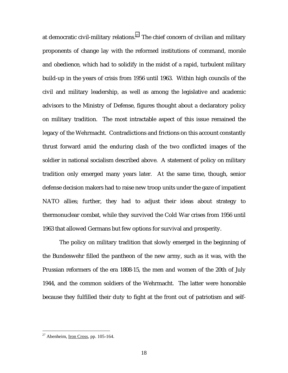at democratic civil-military relations.<sup>27</sup> The chief concern of civilian and military proponents of change lay with the reformed institutions of command, morale and obedience, which had to solidify in the midst of a rapid, turbulent military build-up in the years of crisis from 1956 until 1963. Within high councils of the civil and military leadership, as well as among the legislative and academic advisors to the Ministry of Defense, figures thought about a declaratory policy on military tradition. The most intractable aspect of this issue remained the legacy of the Wehrmacht. Contradictions and frictions on this account constantly thrust forward amid the enduring clash of the two conflicted images of the soldier in national socialism described above. A statement of policy on military tradition only emerged many years later. At the same time, though, senior defense decision makers had to raise new troop units under the gaze of impatient NATO allies; further, they had to adjust their ideas about strategy to thermonuclear combat, while they survived the Cold War crises from 1956 until 1963 that allowed Germans but few options for survival and prosperity.

 The policy on military tradition that slowly emerged in the beginning of the Bundeswehr filled the pantheon of the new army, such as it was, with the Prussian reformers of the era 1808-15, the men and women of the 20th of July 1944, and the common soldiers of the Wehrmacht. The latter were honorable because they fulfilled their duty to fight at the front out of patriotism and self-

 $27$  Abenheim, Iron Cross, pp. 105-164.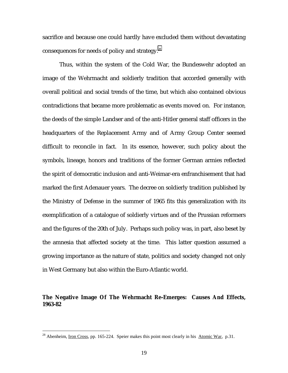sacrifice and because one could hardly have excluded them without devastating consequences for needs of policy and strategy.<sup>28</sup>

 Thus, within the system of the Cold War, the Bundeswehr adopted an image of the Wehrmacht and soldierly tradition that accorded generally with overall political and social trends of the time, but which also contained obvious contradictions that became more problematic as events moved on. For instance, the deeds of the simple Landser and of the anti-Hitler general staff officers in the headquarters of the Replacement Army and of Army Group Center seemed difficult to reconcile in fact. In its essence, however, such policy about the symbols, lineage, honors and traditions of the former German armies reflected the spirit of democratic inclusion and anti-Weimar-era enfranchisement that had marked the first Adenauer years. The decree on soldierly tradition published by the Ministry of Defense in the summer of 1965 fits this generalization with its exemplification of a catalogue of soldierly virtues and of the Prussian reformers and the figures of the 20th of July. Perhaps such policy was, in part, also beset by the amnesia that affected society at the time. This latter question assumed a growing importance as the nature of state, politics and society changed not only in West Germany but also within the Euro-Atlantic world.

**The Negative Image Of The Wehrmacht Re-Emerges: Causes And Effects, 1963-82** 

<sup>&</sup>lt;sup>28</sup> Abenheim, <u>Iron Cross</u>, pp. 165-224. Speier makes this point most clearly in his Atomic War, p.31.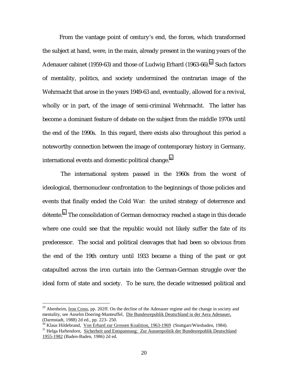From the vantage point of century's end, the forces, which transformed the subject at hand, were, in the main, already present in the waning years of the Adenauer cabinet (1959-63) and those of Ludwig Erhard (1963-66).<sup>29</sup> Such factors of mentality, politics, and society undermined the contrarian image of the Wehrmacht that arose in the years 1949-63 and, eventually, allowed for a revival, wholly or in part, of the image of semi-criminal Wehrmacht. The latter has become a dominant feature of debate on the subject from the middle 1970s until the end of the 1990s. In this regard, there exists also throughout this period a noteworthy connection between the image of contemporary history in Germany, international events and domestic political change. $^{\text{30}}$ 

 The international system passed in the 1960s from the worst of ideological, thermonuclear confrontation to the beginnings of those policies and events that finally ended the Cold War: the united strategy of deterrence and détente.<sup>31</sup> The consolidation of German democracy reached a stage in this decade where one could see that the republic would not likely suffer the fate of its predecessor. The social and political cleavages that had been so obvious from the end of the 19th century until 1933 became a thing of the past or got catapulted across the iron curtain into the German-German struggle over the ideal form of state and society. To be sure, the decade witnessed political and

 $^{29}$  Abenheim, Iron Cross, pp. 202ff. On the decline of the Adenauer regime and the change in society and mentality, see Anselm Doering-Manteuffel, Die Bundesrepublik Deutschland in der Aera Adenauer, (Darmstadt, 1988) 2d ed., pp. 223- 250.

<sup>&</sup>lt;sup>30</sup> Klaus Hildebrand, Von Erhard zur Grossen Koalition, 1963-1969 (Stuttgart/Wiesbaden, 1984).<br><sup>31</sup> Helga Haftendorn, <u>Sicherheit und Entspannung: Zur Aussenpolitik der Bundesrepublik Deutschland</u> 1955-1982 (Baden-Baden, 1986) 2d ed.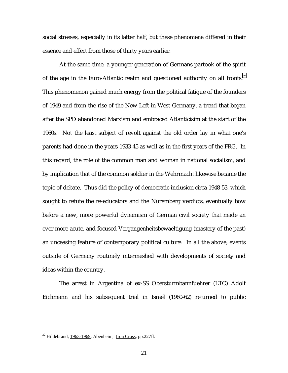social stresses, especially in its latter half, but these phenomena differed in their essence and effect from those of thirty years earlier.

 At the same time, a younger generation of Germans partook of the spirit of the age in the Euro-Atlantic realm and questioned authority on all fronts. $32$ This phenomenon gained much energy from the political fatigue of the founders of 1949 and from the rise of the New Left in West Germany, a trend that began after the SPD abandoned Marxism and embraced Atlanticisim at the start of the 1960s. Not the least subject of revolt against the old order lay in what one's parents had done in the years 1933-45 as well as in the first years of the FRG. In this regard, the role of the common man and woman in national socialism, and by implication that of the common soldier in the Wehrmacht likewise became the topic of debate. Thus did the policy of democratic inclusion circa 1948-53, which sought to refute the re-educators and the Nuremberg verdicts, eventually bow before a new, more powerful dynamism of German civil society that made an ever more acute, and focused Vergangenheitsbewaeltigung (mastery of the past) an unceasing feature of contemporary political culture. In all the above, events outside of Germany routinely intermeshed with developments of society and ideas within the country.

 The arrest in Argentina of ex-SS Obersturmbannfuehrer (LTC) Adolf Eichmann and his subsequent trial in Israel (1960-62) returned to public

<sup>&</sup>lt;sup>32</sup> Hildebrand, 1963-1969; Abenheim, Iron Cross, pp.227ff.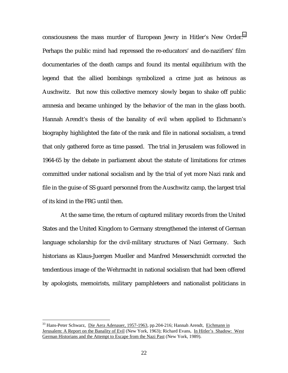consciousness the mass murder of European Jewry in Hitler's New Order.<sup>33</sup> Perhaps the public mind had repressed the re-educators' and de-nazifiers' film documentaries of the death camps and found its mental equilibrium with the legend that the allied bombings symbolized a crime just as heinous as Auschwitz. But now this collective memory slowly began to shake off public amnesia and became unhinged by the behavior of the man in the glass booth. Hannah Arendt's thesis of the banality of evil when applied to Eichmann's biography highlighted the fate of the rank and file in national socialism, a trend that only gathered force as time passed. The trial in Jerusalem was followed in 1964-65 by the debate in parliament about the statute of limitations for crimes committed under national socialism and by the trial of yet more Nazi rank and file in the guise of SS guard personnel from the Auschwitz camp, the largest trial of its kind in the FRG until then.

 At the same time, the return of captured military records from the United States and the United Kingdom to Germany strengthened the interest of German language scholarship for the civil-military structures of Nazi Germany. Such historians as Klaus-Juergen Mueller and Manfred Messerschmidt corrected the tendentious image of the Wehrmacht in national socialism that had been offered by apologists, memoirists, military pamphleteers and nationalist politicians in

<sup>&</sup>lt;sup>33</sup> Hans-Peter Schwarz, Die Aera Adenauer, 1957-1963, pp.204-216; Hannah Arendt, Eichmann in Jerusalem: A Report on the Banality of Evil (New York, 1963); Richard Evans, In Hitler's Shadow: West German Historians and the Attempt to Escape from the Nazi Past (New York, 1989).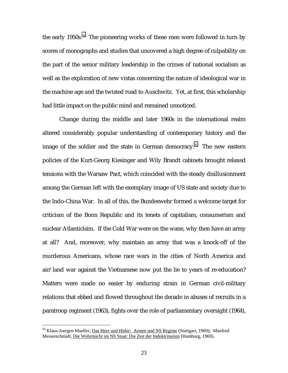the early 1950s.<sup>34</sup> The pioneering works of these men were followed in turn by scores of monographs and studies that uncovered a high degree of culpability on the part of the senior military leadership in the crimes of national socialism as well as the exploration of new vistas concerning the nature of ideological war in the machine age and the twisted road to Auschwitz. Yet, at first, this scholarship had little impact on the public mind and remained unnoticed.

 Change during the middle and later 1960s in the international realm altered considerably popular understanding of contemporary history and the image of the soldier and the state in German democracy.<sup>35</sup> The new eastern policies of the Kurt-Georg Kiesinger and Wily Brandt cabinets brought relaxed tensions with the Warsaw Pact, which coincided with the steady disillusionment among the German left with the exemplary image of US state and society due to the Indo-China War. In all of this, the Bundeswehr formed a welcome target for criticism of the Bonn Republic and its tenets of capitalism, consumerism and nuclear Atlanticisim. If the Cold War were on the wane, why then have an army at all? And, moreover, why maintain an army that was a knock-off of the murderous Americans, whose race wars in the cities of North America and air/land war against the Vietnamese now put the lie to years of re-education? Matters were made no easier by enduring strain in German civil-military relations that ebbed and flowed throughout the decade in abuses of recruits in a paratroop regiment (1963), fights over the role of parliamentary oversight (1964),

<sup>&</sup>lt;sup>34</sup> Klaus-Juergen Mueller, *Das Heer und Hitler: Armee und NS Regime* (Stuttgart, 1969); Manfred Messerschmidt, Die Wehrmacht im NS Staat: Die Zeit der Indoktrination (Hamburg, 1969).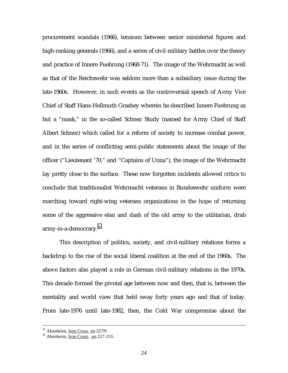procurement scandals (1966), tensions between senior ministerial figures and high-ranking generals (1966), and a series of civil-military battles over the theory and practice of Innere Fuehrung (1968-71). The image of the Wehrmacht as well as that of the Reichswehr was seldom more than a subsidiary issue during the late-1960s. However, in such events as the controversial speech of Army Vice Chief of Staff Hans-Hellmuth Grashey wherein he described Innere Fuehrung as but a "mask," in the so-called Schnez Study (named for Army Chief of Staff Albert Schnez) which called for a reform of society to increase combat power, and in the series of conflicting semi-public statements about the image of the officer ("Lieutenant '70," and "Captains of Unna"), the image of the Wehrmacht lay pretty close to the surface. These now forgotten incidents allowed critics to conclude that traditionalist Wehrmacht veterans in Bundeswehr uniform were marching toward right-wing veterans organizations in the hope of returning some of the aggressive elan and dash of the old army to the utilitarian, drab army-in-a-democracy.<sup>36</sup>

 This description of politics, society, and civil-military relations forms a backdrop to the rise of the social liberal coalition at the end of the 1960s. The above factors also played a role in German civil-military relations in the 1970s. This decade formed the pivotal age between now and then, that is, between the mentality and world view that held sway forty years ago and that of today. From late-1976 until late-1982, then, the Cold War compromise about the

 $35$  Abenheim, Iron Cross, pp.227ff.<br> $36$  Abenheim, Iron Cross, pp.227-255.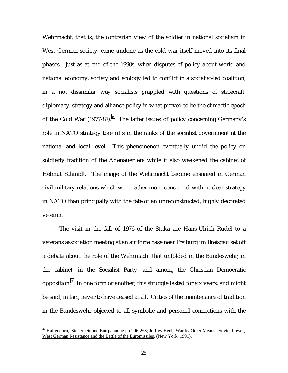Wehrmacht, that is, the contrarian view of the soldier in national socialism in West German society, came undone as the cold war itself moved into its final phases. Just as at end of the 1990s, when disputes of policy about world and national economy, society and ecology led to conflict in a socialist-led coalition, in a not dissimilar way socialists grappled with questions of statecraft, diplomacy, strategy and alliance policy in what proved to be the climactic epoch of the Cold War  $(1977-87)^{37}$  The latter issues of policy concerning Germany's role in NATO strategy tore rifts in the ranks of the socialist government at the national and local level. This phenomenon eventually undid the policy on soldierly tradition of the Adenauer era while it also weakened the cabinet of Helmut Schmidt. The image of the Wehrmacht became ensnared in German civil-military relations which were rather more concerned with nuclear strategy in NATO than principally with the fate of an unreconstructed, highly decorated veteran.

 The visit in the fall of 1976 of the Stuka ace Hans-Ulrich Rudel to a veterans association meeting at an air force base near Freiburg im Breisgau set off a debate about the role of the Wehrmacht that unfolded in the Bundeswehr, in the cabinet, in the Socialist Party, and among the Christian Democratic opposition.38 In one form or another, this struggle lasted for six years, and might be said, in fact, never to have ceased at all. Critics of the maintenance of tradition in the Bundeswehr objected to all symbolic and personal connections with the

<sup>&</sup>lt;sup>37</sup> Haftendorn, Sicherheit und Entspannung pp.206-268; Jeffrey Herf, War by Other Means: Soviet Power, West German Resistance and the Battle of the Euromissiles, (New York, 1991).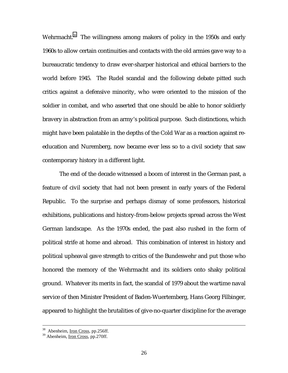Wehrmacht.<sup>39</sup> The willingness among makers of policy in the 1950s and early 1960s to allow certain continuities and contacts with the old armies gave way to a bureaucratic tendency to draw ever-sharper historical and ethical barriers to the world before 1945. The Rudel scandal and the following debate pitted such critics against a defensive minority, who were oriented to the mission of the soldier in combat, and who asserted that one should be able to honor soldierly bravery in abstraction from an army's political purpose. Such distinctions, which might have been palatable in the depths of the Cold War as a reaction against reeducation and Nuremberg, now became ever less so to a civil society that saw contemporary history in a different light.

 The end of the decade witnessed a boom of interest in the German past, a feature of civil society that had not been present in early years of the Federal Republic. To the surprise and perhaps dismay of some professors, historical exhibitions, publications and history-from-below projects spread across the West German landscape. As the 1970s ended, the past also rushed in the form of political strife at home and abroad. This combination of interest in history and political upheaval gave strength to critics of the Bundeswehr and put those who honored the memory of the Wehrmacht and its soldiers onto shaky political ground. Whatever its merits in fact, the scandal of 1979 about the wartime naval service of then Minister President of Baden-Wuertemberg, Hans Georg Filbinger, appeared to highlight the brutalities of give-no-quarter discipline for the average

<sup>&</sup>lt;sup>38</sup> Abenheim, Iron Cross, pp.256ff.

<sup>39</sup> Abenheim, Iron Cross, pp.270ff.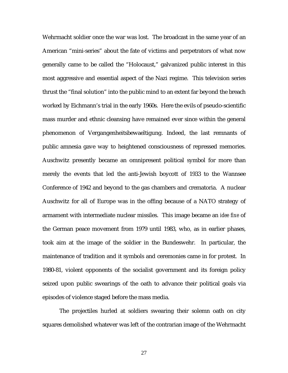Wehrmacht soldier once the war was lost. The broadcast in the same year of an American "mini-series" about the fate of victims and perpetrators of what now generally came to be called the "Holocaust," galvanized public interest in this most aggressive and essential aspect of the Nazi regime. This television series thrust the "final solution" into the public mind to an extent far beyond the breach worked by Eichmann's trial in the early 1960s. Here the evils of pseudo-scientific mass murder and ethnic cleansing have remained ever since within the general phenomenon of Vergangenheitsbewaeltigung. Indeed, the last remnants of public amnesia gave way to heightened consciousness of repressed memories. Auschwitz presently became an omnipresent political symbol for more than merely the events that led the anti-Jewish boycott of 1933 to the Wannsee Conference of 1942 and beyond to the gas chambers and crematoria. A nuclear Auschwitz for all of Europe was in the offing because of a NATO strategy of armament with intermediate nuclear missiles. This image became an *idee fixe* of the German peace movement from 1979 until 1983, who, as in earlier phases, took aim at the image of the soldier in the Bundeswehr. In particular, the maintenance of tradition and it symbols and ceremonies came in for protest. In 1980-81, violent opponents of the socialist government and its foreign policy seized upon public swearings of the oath to advance their political goals via episodes of violence staged before the mass media.

 The projectiles hurled at soldiers swearing their solemn oath on city squares demolished whatever was left of the contrarian image of the Wehrmacht

<u>27 and 27</u>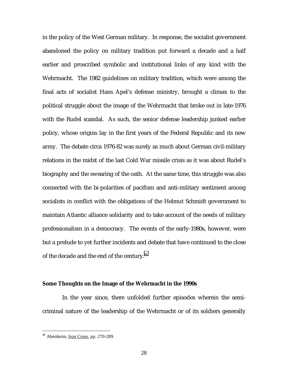in the policy of the West German military. In response, the socialist government abandoned the policy on military tradition put forward a decade and a half earlier and proscribed symbolic and institutional links of any kind with the Wehrmacht. The 1982 guidelines on military tradition, which were among the final acts of socialist Hans Apel's defense ministry, brought a climax to the political struggle about the image of the Wehrmacht that broke out in late-1976 with the Rudel scandal. As such, the senior defense leadership junked earlier policy, whose origins lay in the first years of the Federal Republic and its new army. The debate circa 1976-82 was surely as much about German civil-military relations in the midst of the last Cold War missile crisis as it was about Rudel's biography and the swearing of the oath. At the same time, this struggle was also connected with the bi-polarities of pacifism and anti-military sentiment among socialists in conflict with the obligations of the Helmut Schmidt government to maintain Atlantic alliance solidarity and to take account of the needs of military professionalism in a democracy. The events of the early-1980s, however, were but a prelude to yet further incidents and debate that have continued to the close of the decade and the end of the century.<sup>40</sup>

#### **Some Thoughts on the Image of the Wehrmacht in the 1990s**

 In the year since, there unfolded further episodes wherein the semicriminal nature of the leadership of the Wehrmacht or of its soldiers generally

<sup>40</sup> Abenheim, Iron Cross, pp. 270-289.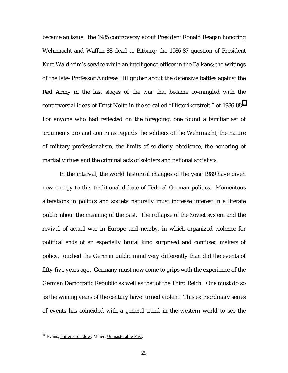became an issue: the 1985 controversy about President Ronald Reagan honoring Wehrmacht and Waffen-SS dead at Bitburg; the 1986-87 question of President Kurt Waldheim's service while an intelligence officer in the Balkans; the writings of the late- Professor Andreas Hillgruber about the defensive battles against the Red Army in the last stages of the war that became co-mingled with the controversial ideas of Ernst Nolte in the so-called "Historikerstreit." of 1986-88.<sup>41</sup> For anyone who had reflected on the foregoing, one found a familiar set of arguments pro and contra as regards the soldiers of the Wehrmacht, the nature of military professionalism, the limits of soldierly obedience, the honoring of martial virtues and the criminal acts of soldiers and national socialists.

 In the interval, the world historical changes of the year 1989 have given new energy to this traditional debate of Federal German politics. Momentous alterations in politics and society naturally must increase interest in a literate public about the meaning of the past. The collapse of the Soviet system and the revival of actual war in Europe and nearby, in which organized violence for political ends of an especially brutal kind surprised and confused makers of policy, touched the German public mind very differently than did the events of fifty-five years ago. Germany must now come to grips with the experience of the German Democratic Republic as well as that of the Third Reich. One must do so as the waning years of the century have turned violent. This extraordinary series of events has coincided with a general trend in the western world to see the

<sup>41</sup> Evans, Hitler's Shadow; Maier, Unmasterable Past.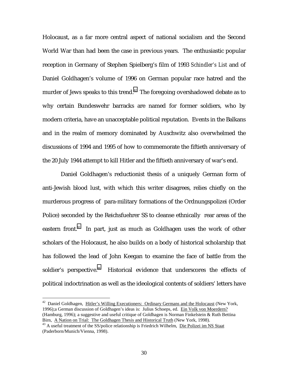Holocaust, as a far more central aspect of national socialism and the Second World War than had been the case in previous years. The enthusiastic popular reception in Germany of Stephen Spielberg's film of 1993 *Schindler's List* and of Daniel Goldhagen's volume of 1996 on German popular race hatred and the murder of Jews speaks to this trend.<sup>42</sup> The foregoing overshadowed debate as to why certain Bundeswehr barracks are named for former soldiers, who by modern criteria, have an unacceptable political reputation. Events in the Balkans and in the realm of memory dominated by Auschwitz also overwhelmed the discussions of 1994 and 1995 of how to commemorate the fiftieth anniversary of the 20 July 1944 attempt to kill Hitler and the fiftieth anniversary of war's end.

 Daniel Goldhagen's reductionist thesis of a uniquely German form of anti-Jewish blood lust, with which this writer disagrees, relies chiefly on the murderous progress of para-military formations of the Ordnungspolizei (Order Police) seconded by the Reichsfuehrer SS to cleanse ethnically rear areas of the eastern front.<sup>43</sup> In part, just as much as Goldhagen uses the work of other scholars of the Holocaust, he also builds on a body of historical scholarship that has followed the lead of John Keegan to examine the face of battle from the soldier's perspective.<sup>44</sup> Historical evidence that underscores the effects of political indoctrination as well as the ideological contents of soldiers' letters have

<sup>&</sup>lt;sup>42</sup> Daniel Goldhagen, Hitler's Willing Executioners: Ordinary Germans and the Holocaust (New York, 1996);a German discussion of Goldhagen's ideas is: Julius Schoeps, ed. Ein Volk von Moerdern? (Hamburg, 1996); a suggestive and useful critique of Goldhagen is Norman Finkelstein & Ruth Bettina<br>Birn, A Nation on Trial: The Goldhagen Thesis and Historical Truth (New York, 1998).

<sup>&</sup>lt;sup>43</sup> A useful treatment of the SS/police relationship is Friedrich Wilhelm, Die Polizei im NS Staat (Paderborn/Munich/Vienna, 1998).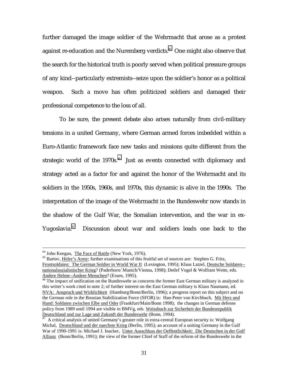further damaged the image soldier of the Wehrmacht that arose as a protest against re-education and the Nuremberg verdicts.<sup>45</sup> One might also observe that the search for the historical truth is poorly served when political pressure groups of any kind--particularly extremists--seize upon the soldier's honor as a political weapon. Such a move has often politicized soldiers and damaged their professional competence to the loss of all.

 To be sure, the present debate also arises naturally from civil-military tensions in a united Germany, where German armed forces imbedded within a Euro-Atlantic framework face new tasks and missions quite different from the strategic world of the  $1970s<sup>46</sup>$  Just as events connected with diplomacy and strategy acted as a factor for and against the honor of the Wehrmacht and its soldiers in the 1950s, 1960s, and 1970s, this dynamic is alive in the 1990s. The interpretation of the image of the Wehrmacht in the Bundeswehr now stands in the shadow of the Gulf War, the Somalian intervention, and the war in ex-Yugoslavia.<sup>47</sup> Discussion about war and soldiers leads one back to the

<sup>&</sup>lt;sup>44</sup> John Keegan, The Face of Battle (New York, 1976).<br><sup>45</sup> Bartov, Hitler's Army; further examinations of this fruitful set of sources are: Stephen G. Fritz, Frontsoldaten: The German Soldier in World War II (Lexington, 1995); Klaus Latzel, Deutsche Soldaten- nationalsozialistischer Krieg? (Paderborn/ Munich/Vienna, 1998); Detlef Vogel & Wolfram Wette, eds. Andere Helme--Andere Menschen? (Essen, 1995).<br><sup>46</sup> The impact of unification on the Bundeswehr as concerns the former East German military is analyzed in

this writer's work cited in note 2; of further interest on the East German military is Klaus Naumann, ed. NVA: Anspruch und Wirklichkeit (Hamburg/Bonn/Berlin, 1996); a progress report on this subject and on the German role in the Bosnian Stabiliization Force (SFOR) is: Han-Peter von Kirchbach, Mit Herz und Hand: Soldaten zwischen Elbe und Oder (Frankfurt/Main/Bonn 1998); the changes in German defense policy from 1989 until 1994 are visible in BMVg, eds. Weissbuch zur Sicherheit der Bundesrepublik<br>Deutschland und zur Lage und Zukunft der Bundeswehr (Bonn, 1994).

 $\frac{1}{47}$  A critical analysis of united Germany's greater role in extra-central European security is: Wolfgang Michal, Deutschland und der naechste Krieg (Berlin, 1995); an account of a uniting Germany in the Gulf War of 1990-1991 is: Michael J. Inacker, Unter Ausschluss der Oeffentlichkeit: Die Deutschen in der Golf Allianz (Bonn/Berlin, 1991); the view of the former Chief of Staff of the reform of the Bundeswehr in the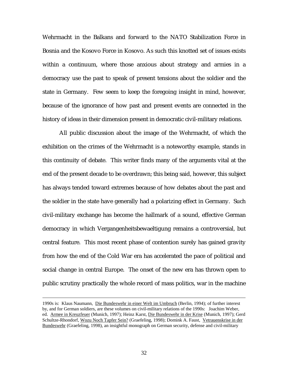Wehrmacht in the Balkans and forward to the NATO Stabilization Force in Bosnia and the Kosovo Force in Kosovo. As such this knotted set of issues exists within a continuum, where those anxious about strategy and armies in a democracy use the past to speak of present tensions about the soldier and the state in Germany. Few seem to keep the foregoing insight in mind, however, because of the ignorance of how past and present events are connected in the history of ideas in their dimension present in democratic civil-military relations.

 All public discussion about the image of the Wehrmacht, of which the exhibition on the crimes of the Wehrmacht is a noteworthy example, stands in this continuity of debate. This writer finds many of the arguments vital at the end of the present decade to be overdrawn; this being said, however, this subject has always tended toward extremes because of how debates about the past and the soldier in the state have generally had a polarizing effect in Germany. Such civil-military exchange has become the hallmark of a sound, effective German democracy in which Vergangenheitsbewaeltigung remains a controversial, but central feature. This most recent phase of contention surely has gained gravity from how the end of the Cold War era has accelerated the pace of political and social change in central Europe. The onset of the new era has thrown open to public scrutiny practically the whole record of mass politics, war in the machine

<sup>1990</sup>s is: Klaus Naumann, Die Bundeswehr in einer Welt im Umbruch (Berlin, 1994); of further interest by, and for German soldiers, are these volumes on civil-military relations of the 1990s: Joachim Weber, ed. Armee in Kreuzfeuer (Munich, 1997); Heinz Karst, Die Bundeswehr in der Krise (Munich, 1997); Gerd Schultze-Rhondorf, Wozu Noch Tapfer Sein? (Graefeling, 1998); Domink A. Faust, Vetrauenskrise in der Bundeswehr (Graefeling, 1998), an insightful monograph on German security, defense and civil-military